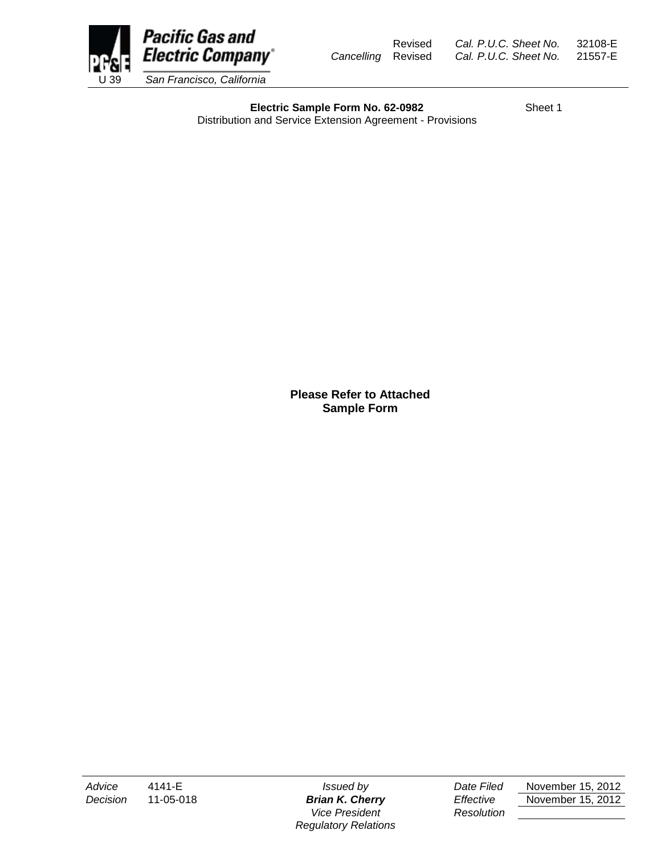

Revised *Cal. P.U.C. Sheet No.* 32108-E *Cancelling* Revised *Cal. P.U.C. Sheet No.* 21557-E

**Electric Sample Form No. 62-0982** Sheet 1 Distribution and Service Extension Agreement - Provisions

> **Please Refer to Attached Sample Form**

*Vice President Resolution Regulatory Relations*

*Advice* 4141-E *Issued by Date Filed* November 15, 2012 *Decision* 11-05-018 *Brian K. Cherry Effective* November 15, 2012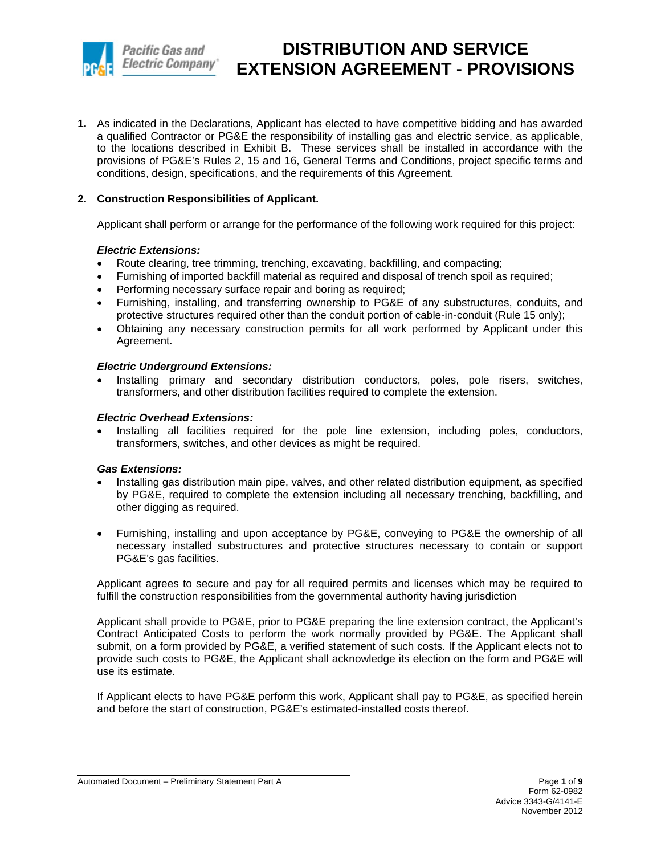

**1.** As indicated in the Declarations, Applicant has elected to have competitive bidding and has awarded a qualified Contractor or PG&E the responsibility of installing gas and electric service, as applicable, to the locations described in Exhibit B. These services shall be installed in accordance with the provisions of PG&E's Rules 2, 15 and 16, General Terms and Conditions, project specific terms and conditions, design, specifications, and the requirements of this Agreement.

## **2. Construction Responsibilities of Applicant.**

Applicant shall perform or arrange for the performance of the following work required for this project:

## *Electric Extensions:*

- Route clearing, tree trimming, trenching, excavating, backfilling, and compacting;
- Furnishing of imported backfill material as required and disposal of trench spoil as required;
- Performing necessary surface repair and boring as required;
- Furnishing, installing, and transferring ownership to PG&E of any substructures, conduits, and protective structures required other than the conduit portion of cable-in-conduit (Rule 15 only);
- Obtaining any necessary construction permits for all work performed by Applicant under this Agreement.

### *Electric Underground Extensions:*

Installing primary and secondary distribution conductors, poles, pole risers, switches, transformers, and other distribution facilities required to complete the extension.

### *Electric Overhead Extensions:*

• Installing all facilities required for the pole line extension, including poles, conductors, transformers, switches, and other devices as might be required.

## *Gas Extensions:*

- Installing gas distribution main pipe, valves, and other related distribution equipment, as specified by PG&E, required to complete the extension including all necessary trenching, backfilling, and other digging as required.
- Furnishing, installing and upon acceptance by PG&E, conveying to PG&E the ownership of all necessary installed substructures and protective structures necessary to contain or support PG&E's gas facilities.

Applicant agrees to secure and pay for all required permits and licenses which may be required to fulfill the construction responsibilities from the governmental authority having jurisdiction

Applicant shall provide to PG&E, prior to PG&E preparing the line extension contract, the Applicant's Contract Anticipated Costs to perform the work normally provided by PG&E. The Applicant shall submit, on a form provided by PG&E, a verified statement of such costs. If the Applicant elects not to provide such costs to PG&E, the Applicant shall acknowledge its election on the form and PG&E will use its estimate.

If Applicant elects to have PG&E perform this work, Applicant shall pay to PG&E, as specified herein and before the start of construction, PG&E's estimated-installed costs thereof.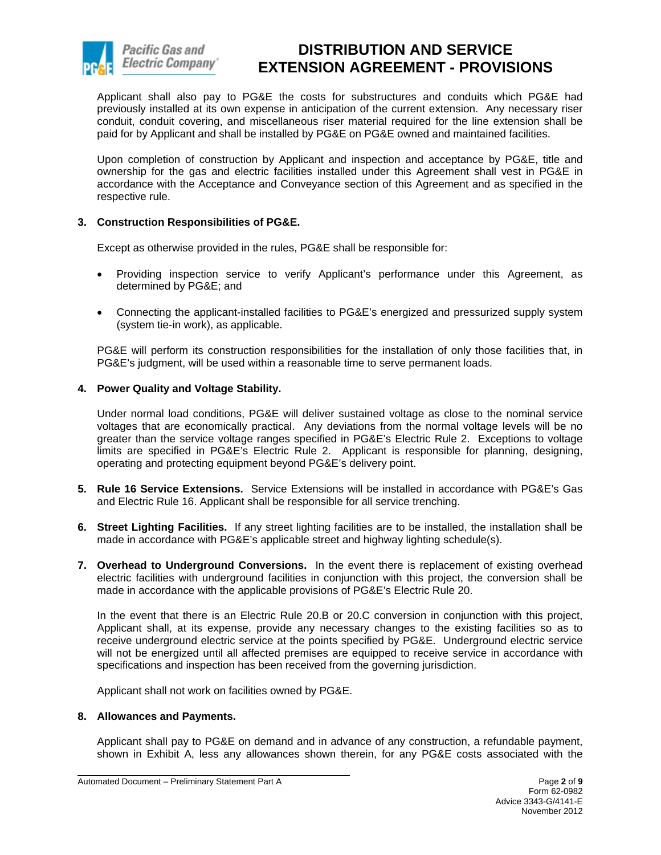

Applicant shall also pay to PG&E the costs for substructures and conduits which PG&E had previously installed at its own expense in anticipation of the current extension. Any necessary riser conduit, conduit covering, and miscellaneous riser material required for the line extension shall be paid for by Applicant and shall be installed by PG&E on PG&E owned and maintained facilities.

Upon completion of construction by Applicant and inspection and acceptance by PG&E, title and ownership for the gas and electric facilities installed under this Agreement shall vest in PG&E in accordance with the Acceptance and Conveyance section of this Agreement and as specified in the respective rule.

## **3. Construction Responsibilities of PG&E.**

Except as otherwise provided in the rules, PG&E shall be responsible for:

- Providing inspection service to verify Applicant's performance under this Agreement, as determined by PG&E; and
- Connecting the applicant-installed facilities to PG&E's energized and pressurized supply system (system tie-in work), as applicable.

PG&E will perform its construction responsibilities for the installation of only those facilities that, in PG&E's judgment, will be used within a reasonable time to serve permanent loads.

## **4. Power Quality and Voltage Stability.**

Under normal load conditions, PG&E will deliver sustained voltage as close to the nominal service voltages that are economically practical. Any deviations from the normal voltage levels will be no greater than the service voltage ranges specified in PG&E's Electric Rule 2. Exceptions to voltage limits are specified in PG&E's Electric Rule 2. Applicant is responsible for planning, designing, operating and protecting equipment beyond PG&E's delivery point.

- **5. Rule 16 Service Extensions.** Service Extensions will be installed in accordance with PG&E's Gas and Electric Rule 16. Applicant shall be responsible for all service trenching.
- **6. Street Lighting Facilities.** If any street lighting facilities are to be installed, the installation shall be made in accordance with PG&E's applicable street and highway lighting schedule(s).
- **7. Overhead to Underground Conversions.** In the event there is replacement of existing overhead electric facilities with underground facilities in conjunction with this project, the conversion shall be made in accordance with the applicable provisions of PG&E's Electric Rule 20.

In the event that there is an Electric Rule 20.B or 20.C conversion in conjunction with this project, Applicant shall, at its expense, provide any necessary changes to the existing facilities so as to receive underground electric service at the points specified by PG&E. Underground electric service will not be energized until all affected premises are equipped to receive service in accordance with specifications and inspection has been received from the governing jurisdiction.

Applicant shall not work on facilities owned by PG&E.

## **8. Allowances and Payments.**

Applicant shall pay to PG&E on demand and in advance of any construction, a refundable payment, shown in Exhibit A, less any allowances shown therein, for any PG&E costs associated with the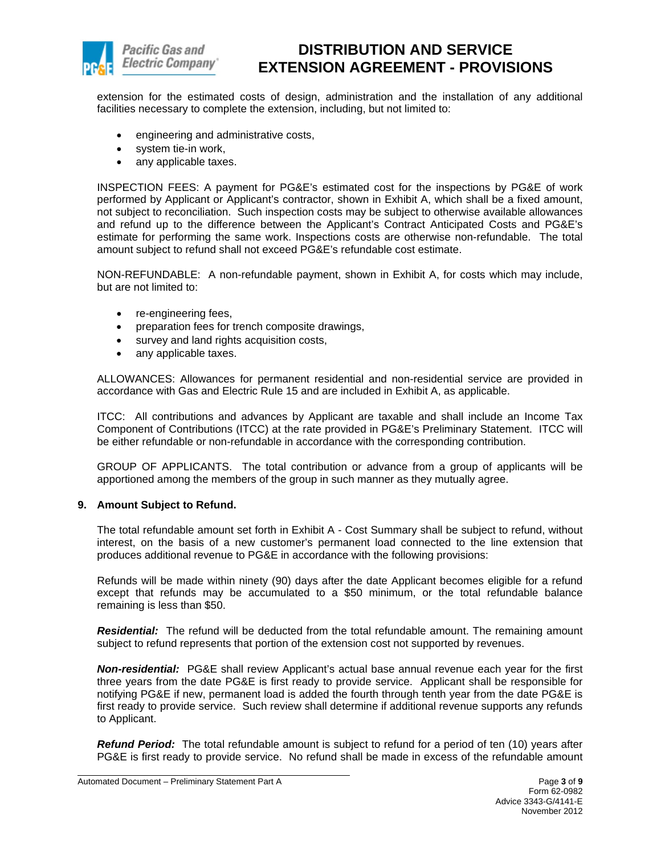

extension for the estimated costs of design, administration and the installation of any additional facilities necessary to complete the extension, including, but not limited to:

- engineering and administrative costs,
- system tie-in work,
- any applicable taxes.

INSPECTION FEES: A payment for PG&E's estimated cost for the inspections by PG&E of work performed by Applicant or Applicant's contractor, shown in Exhibit A, which shall be a fixed amount, not subject to reconciliation. Such inspection costs may be subject to otherwise available allowances and refund up to the difference between the Applicant's Contract Anticipated Costs and PG&E's estimate for performing the same work. Inspections costs are otherwise non-refundable. The total amount subject to refund shall not exceed PG&E's refundable cost estimate.

NON-REFUNDABLE: A non-refundable payment, shown in Exhibit A, for costs which may include, but are not limited to:

- re-engineering fees,
- preparation fees for trench composite drawings,
- survey and land rights acquisition costs,
- any applicable taxes.

ALLOWANCES: Allowances for permanent residential and non-residential service are provided in accordance with Gas and Electric Rule 15 and are included in Exhibit A, as applicable.

ITCC: All contributions and advances by Applicant are taxable and shall include an Income Tax Component of Contributions (ITCC) at the rate provided in PG&E's Preliminary Statement. ITCC will be either refundable or non-refundable in accordance with the corresponding contribution.

GROUP OF APPLICANTS. The total contribution or advance from a group of applicants will be apportioned among the members of the group in such manner as they mutually agree.

## **9. Amount Subject to Refund.**

The total refundable amount set forth in Exhibit A - Cost Summary shall be subject to refund, without interest, on the basis of a new customer's permanent load connected to the line extension that produces additional revenue to PG&E in accordance with the following provisions:

Refunds will be made within ninety (90) days after the date Applicant becomes eligible for a refund except that refunds may be accumulated to a \$50 minimum, or the total refundable balance remaining is less than \$50.

*Residential:* The refund will be deducted from the total refundable amount. The remaining amount subject to refund represents that portion of the extension cost not supported by revenues.

*Non-residential:* PG&E shall review Applicant's actual base annual revenue each year for the first three years from the date PG&E is first ready to provide service. Applicant shall be responsible for notifying PG&E if new, permanent load is added the fourth through tenth year from the date PG&E is first ready to provide service. Such review shall determine if additional revenue supports any refunds to Applicant.

*Refund Period:* The total refundable amount is subject to refund for a period of ten (10) years after PG&E is first ready to provide service. No refund shall be made in excess of the refundable amount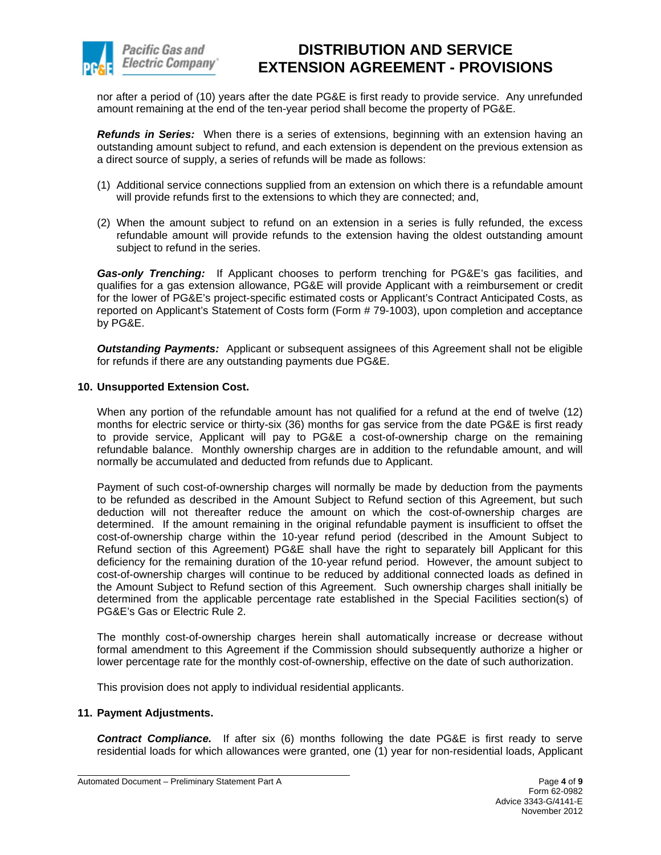

nor after a period of (10) years after the date PG&E is first ready to provide service. Any unrefunded amount remaining at the end of the ten-year period shall become the property of PG&E.

*Refunds in Series:* When there is a series of extensions, beginning with an extension having an outstanding amount subject to refund, and each extension is dependent on the previous extension as a direct source of supply, a series of refunds will be made as follows:

- (1) Additional service connections supplied from an extension on which there is a refundable amount will provide refunds first to the extensions to which they are connected; and,
- (2) When the amount subject to refund on an extension in a series is fully refunded, the excess refundable amount will provide refunds to the extension having the oldest outstanding amount subject to refund in the series.

*Gas-only Trenching:* If Applicant chooses to perform trenching for PG&E's gas facilities, and qualifies for a gas extension allowance, PG&E will provide Applicant with a reimbursement or credit for the lower of PG&E's project-specific estimated costs or Applicant's Contract Anticipated Costs, as reported on Applicant's Statement of Costs form (Form # 79-1003), upon completion and acceptance by PG&E.

*Outstanding Payments:* Applicant or subsequent assignees of this Agreement shall not be eligible for refunds if there are any outstanding payments due PG&E.

## **10. Unsupported Extension Cost.**

When any portion of the refundable amount has not qualified for a refund at the end of twelve (12) months for electric service or thirty-six (36) months for gas service from the date PG&E is first ready to provide service, Applicant will pay to PG&E a cost-of-ownership charge on the remaining refundable balance. Monthly ownership charges are in addition to the refundable amount, and will normally be accumulated and deducted from refunds due to Applicant.

Payment of such cost-of-ownership charges will normally be made by deduction from the payments to be refunded as described in the Amount Subject to Refund section of this Agreement, but such deduction will not thereafter reduce the amount on which the cost-of-ownership charges are determined. If the amount remaining in the original refundable payment is insufficient to offset the cost-of-ownership charge within the 10-year refund period (described in the Amount Subject to Refund section of this Agreement) PG&E shall have the right to separately bill Applicant for this deficiency for the remaining duration of the 10-year refund period. However, the amount subject to cost-of-ownership charges will continue to be reduced by additional connected loads as defined in the Amount Subject to Refund section of this Agreement. Such ownership charges shall initially be determined from the applicable percentage rate established in the Special Facilities section(s) of PG&E's Gas or Electric Rule 2.

The monthly cost-of-ownership charges herein shall automatically increase or decrease without formal amendment to this Agreement if the Commission should subsequently authorize a higher or lower percentage rate for the monthly cost-of-ownership, effective on the date of such authorization.

This provision does not apply to individual residential applicants.

## **11. Payment Adjustments.**

*Contract Compliance.* If after six (6) months following the date PG&E is first ready to serve residential loads for which allowances were granted, one (1) year for non-residential loads, Applicant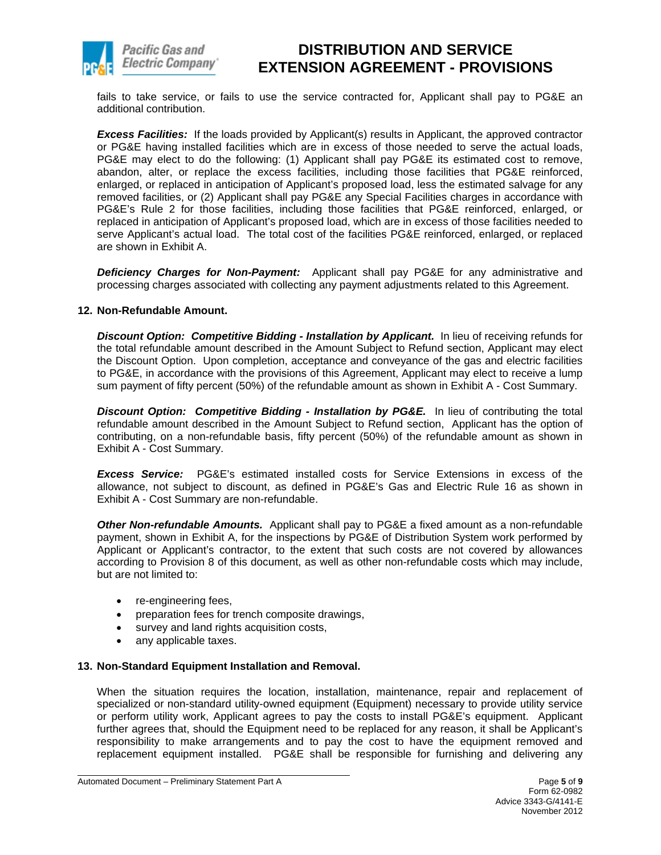

fails to take service, or fails to use the service contracted for, Applicant shall pay to PG&E an additional contribution.

*Excess Facilities:* If the loads provided by Applicant(s) results in Applicant, the approved contractor or PG&E having installed facilities which are in excess of those needed to serve the actual loads, PG&E may elect to do the following: (1) Applicant shall pay PG&E its estimated cost to remove, abandon, alter, or replace the excess facilities, including those facilities that PG&E reinforced, enlarged, or replaced in anticipation of Applicant's proposed load, less the estimated salvage for any removed facilities, or (2) Applicant shall pay PG&E any Special Facilities charges in accordance with PG&E's Rule 2 for those facilities, including those facilities that PG&E reinforced, enlarged, or replaced in anticipation of Applicant's proposed load, which are in excess of those facilities needed to serve Applicant's actual load. The total cost of the facilities PG&E reinforced, enlarged, or replaced are shown in Exhibit A.

*Deficiency Charges for Non-Payment:* Applicant shall pay PG&E for any administrative and processing charges associated with collecting any payment adjustments related to this Agreement.

## **12. Non-Refundable Amount.**

*Discount Option: Competitive Bidding - Installation by Applicant.* In lieu of receiving refunds for the total refundable amount described in the Amount Subject to Refund section, Applicant may elect the Discount Option. Upon completion, acceptance and conveyance of the gas and electric facilities to PG&E, in accordance with the provisions of this Agreement, Applicant may elect to receive a lump sum payment of fifty percent (50%) of the refundable amount as shown in Exhibit A - Cost Summary.

*Discount Option: Competitive Bidding - Installation by PG&E.* In lieu of contributing the total refundable amount described in the Amount Subject to Refund section, Applicant has the option of contributing, on a non-refundable basis, fifty percent (50%) of the refundable amount as shown in Exhibit A - Cost Summary.

*Excess Service:* PG&E's estimated installed costs for Service Extensions in excess of the allowance, not subject to discount, as defined in PG&E's Gas and Electric Rule 16 as shown in Exhibit A - Cost Summary are non-refundable.

*Other Non-refundable Amounts.* Applicant shall pay to PG&E a fixed amount as a non-refundable payment, shown in Exhibit A, for the inspections by PG&E of Distribution System work performed by Applicant or Applicant's contractor, to the extent that such costs are not covered by allowances according to Provision 8 of this document, as well as other non-refundable costs which may include, but are not limited to:

- re-engineering fees,
- preparation fees for trench composite drawings,
- survey and land rights acquisition costs,
- any applicable taxes.

## **13. Non-Standard Equipment Installation and Removal.**

When the situation requires the location, installation, maintenance, repair and replacement of specialized or non-standard utility-owned equipment (Equipment) necessary to provide utility service or perform utility work, Applicant agrees to pay the costs to install PG&E's equipment. Applicant further agrees that, should the Equipment need to be replaced for any reason, it shall be Applicant's responsibility to make arrangements and to pay the cost to have the equipment removed and replacement equipment installed. PG&E shall be responsible for furnishing and delivering any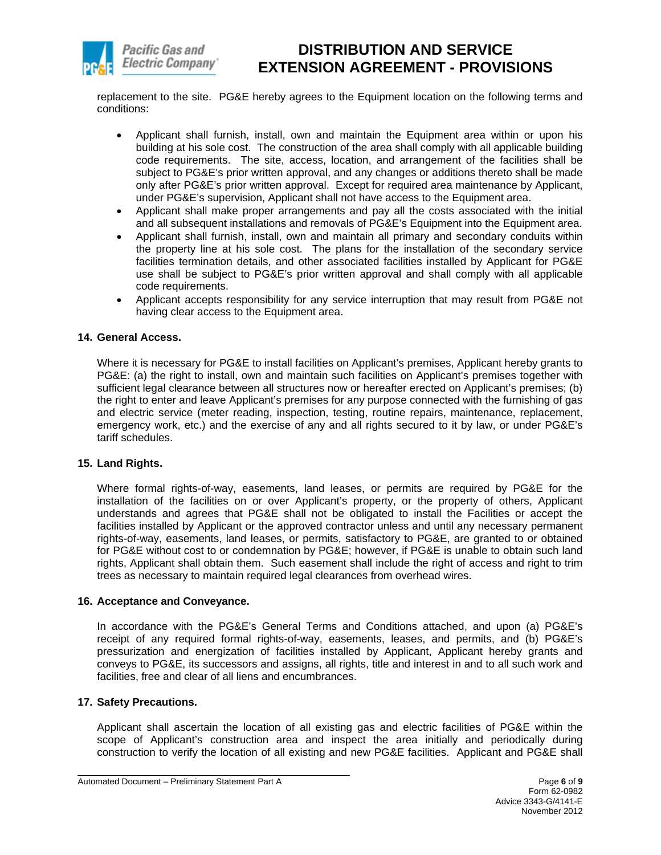

replacement to the site. PG&E hereby agrees to the Equipment location on the following terms and conditions:

- Applicant shall furnish, install, own and maintain the Equipment area within or upon his building at his sole cost. The construction of the area shall comply with all applicable building code requirements. The site, access, location, and arrangement of the facilities shall be subject to PG&E's prior written approval, and any changes or additions thereto shall be made only after PG&E's prior written approval. Except for required area maintenance by Applicant, under PG&E's supervision, Applicant shall not have access to the Equipment area.
- Applicant shall make proper arrangements and pay all the costs associated with the initial and all subsequent installations and removals of PG&E's Equipment into the Equipment area.
- Applicant shall furnish, install, own and maintain all primary and secondary conduits within the property line at his sole cost. The plans for the installation of the secondary service facilities termination details, and other associated facilities installed by Applicant for PG&E use shall be subject to PG&E's prior written approval and shall comply with all applicable code requirements.
- Applicant accepts responsibility for any service interruption that may result from PG&E not having clear access to the Equipment area.

## **14. General Access.**

Where it is necessary for PG&E to install facilities on Applicant's premises, Applicant hereby grants to PG&E: (a) the right to install, own and maintain such facilities on Applicant's premises together with sufficient legal clearance between all structures now or hereafter erected on Applicant's premises; (b) the right to enter and leave Applicant's premises for any purpose connected with the furnishing of gas and electric service (meter reading, inspection, testing, routine repairs, maintenance, replacement, emergency work, etc.) and the exercise of any and all rights secured to it by law, or under PG&E's tariff schedules.

## **15. Land Rights.**

Where formal rights-of-way, easements, land leases, or permits are required by PG&E for the installation of the facilities on or over Applicant's property, or the property of others, Applicant understands and agrees that PG&E shall not be obligated to install the Facilities or accept the facilities installed by Applicant or the approved contractor unless and until any necessary permanent rights-of-way, easements, land leases, or permits, satisfactory to PG&E, are granted to or obtained for PG&E without cost to or condemnation by PG&E; however, if PG&E is unable to obtain such land rights, Applicant shall obtain them. Such easement shall include the right of access and right to trim trees as necessary to maintain required legal clearances from overhead wires.

## **16. Acceptance and Conveyance.**

In accordance with the PG&E's General Terms and Conditions attached, and upon (a) PG&E's receipt of any required formal rights-of-way, easements, leases, and permits, and (b) PG&E's pressurization and energization of facilities installed by Applicant, Applicant hereby grants and conveys to PG&E, its successors and assigns, all rights, title and interest in and to all such work and facilities, free and clear of all liens and encumbrances.

## **17. Safety Precautions.**

Applicant shall ascertain the location of all existing gas and electric facilities of PG&E within the scope of Applicant's construction area and inspect the area initially and periodically during construction to verify the location of all existing and new PG&E facilities. Applicant and PG&E shall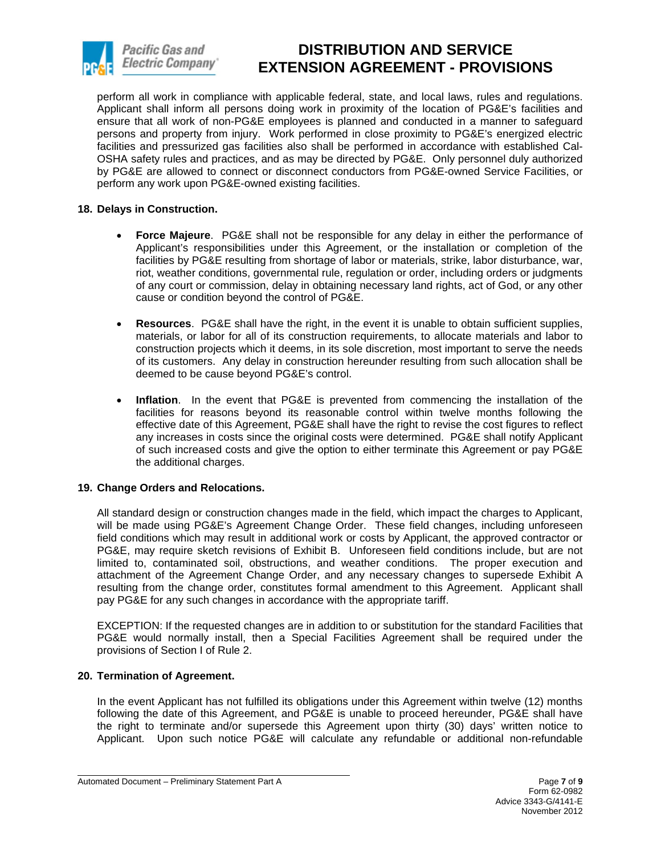

perform all work in compliance with applicable federal, state, and local laws, rules and regulations. Applicant shall inform all persons doing work in proximity of the location of PG&E's facilities and ensure that all work of non-PG&E employees is planned and conducted in a manner to safeguard persons and property from injury. Work performed in close proximity to PG&E's energized electric facilities and pressurized gas facilities also shall be performed in accordance with established Cal-OSHA safety rules and practices, and as may be directed by PG&E. Only personnel duly authorized by PG&E are allowed to connect or disconnect conductors from PG&E-owned Service Facilities, or perform any work upon PG&E-owned existing facilities.

## **18. Delays in Construction.**

- **Force Majeure**. PG&E shall not be responsible for any delay in either the performance of Applicant's responsibilities under this Agreement, or the installation or completion of the facilities by PG&E resulting from shortage of labor or materials, strike, labor disturbance, war, riot, weather conditions, governmental rule, regulation or order, including orders or judgments of any court or commission, delay in obtaining necessary land rights, act of God, or any other cause or condition beyond the control of PG&E.
- **Resources**. PG&E shall have the right, in the event it is unable to obtain sufficient supplies, materials, or labor for all of its construction requirements, to allocate materials and labor to construction projects which it deems, in its sole discretion, most important to serve the needs of its customers. Any delay in construction hereunder resulting from such allocation shall be deemed to be cause beyond PG&E's control.
- **Inflation**. In the event that PG&E is prevented from commencing the installation of the facilities for reasons beyond its reasonable control within twelve months following the effective date of this Agreement, PG&E shall have the right to revise the cost figures to reflect any increases in costs since the original costs were determined. PG&E shall notify Applicant of such increased costs and give the option to either terminate this Agreement or pay PG&E the additional charges.

## **19. Change Orders and Relocations.**

All standard design or construction changes made in the field, which impact the charges to Applicant, will be made using PG&E's Agreement Change Order. These field changes, including unforeseen field conditions which may result in additional work or costs by Applicant, the approved contractor or PG&E, may require sketch revisions of Exhibit B. Unforeseen field conditions include, but are not limited to, contaminated soil, obstructions, and weather conditions. The proper execution and attachment of the Agreement Change Order, and any necessary changes to supersede Exhibit A resulting from the change order, constitutes formal amendment to this Agreement. Applicant shall pay PG&E for any such changes in accordance with the appropriate tariff.

EXCEPTION: If the requested changes are in addition to or substitution for the standard Facilities that PG&E would normally install, then a Special Facilities Agreement shall be required under the provisions of Section I of Rule 2.

## **20. Termination of Agreement.**

In the event Applicant has not fulfilled its obligations under this Agreement within twelve (12) months following the date of this Agreement, and PG&E is unable to proceed hereunder, PG&E shall have the right to terminate and/or supersede this Agreement upon thirty (30) days' written notice to Applicant. Upon such notice PG&E will calculate any refundable or additional non-refundable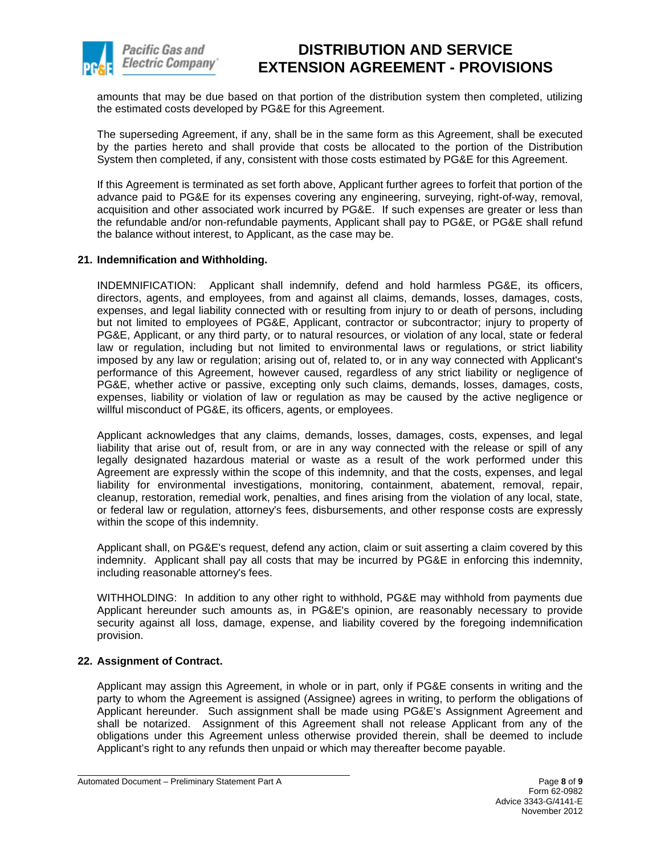

amounts that may be due based on that portion of the distribution system then completed, utilizing the estimated costs developed by PG&E for this Agreement.

The superseding Agreement, if any, shall be in the same form as this Agreement, shall be executed by the parties hereto and shall provide that costs be allocated to the portion of the Distribution System then completed, if any, consistent with those costs estimated by PG&E for this Agreement.

If this Agreement is terminated as set forth above, Applicant further agrees to forfeit that portion of the advance paid to PG&E for its expenses covering any engineering, surveying, right-of-way, removal, acquisition and other associated work incurred by PG&E. If such expenses are greater or less than the refundable and/or non-refundable payments, Applicant shall pay to PG&E, or PG&E shall refund the balance without interest, to Applicant, as the case may be.

## **21. Indemnification and Withholding.**

INDEMNIFICATION: Applicant shall indemnify, defend and hold harmless PG&E, its officers, directors, agents, and employees, from and against all claims, demands, losses, damages, costs, expenses, and legal liability connected with or resulting from injury to or death of persons, including but not limited to employees of PG&E, Applicant, contractor or subcontractor; injury to property of PG&E, Applicant, or any third party, or to natural resources, or violation of any local, state or federal law or regulation, including but not limited to environmental laws or regulations, or strict liability imposed by any law or regulation; arising out of, related to, or in any way connected with Applicant's performance of this Agreement, however caused, regardless of any strict liability or negligence of PG&E, whether active or passive, excepting only such claims, demands, losses, damages, costs, expenses, liability or violation of law or regulation as may be caused by the active negligence or willful misconduct of PG&E, its officers, agents, or employees.

Applicant acknowledges that any claims, demands, losses, damages, costs, expenses, and legal liability that arise out of, result from, or are in any way connected with the release or spill of any legally designated hazardous material or waste as a result of the work performed under this Agreement are expressly within the scope of this indemnity, and that the costs, expenses, and legal liability for environmental investigations, monitoring, containment, abatement, removal, repair, cleanup, restoration, remedial work, penalties, and fines arising from the violation of any local, state, or federal law or regulation, attorney's fees, disbursements, and other response costs are expressly within the scope of this indemnity.

Applicant shall, on PG&E's request, defend any action, claim or suit asserting a claim covered by this indemnity. Applicant shall pay all costs that may be incurred by PG&E in enforcing this indemnity, including reasonable attorney's fees.

WITHHOLDING: In addition to any other right to withhold, PG&E may withhold from payments due Applicant hereunder such amounts as, in PG&E's opinion, are reasonably necessary to provide security against all loss, damage, expense, and liability covered by the foregoing indemnification provision.

## **22. Assignment of Contract.**

Applicant may assign this Agreement, in whole or in part, only if PG&E consents in writing and the party to whom the Agreement is assigned (Assignee) agrees in writing, to perform the obligations of Applicant hereunder. Such assignment shall be made using PG&E's Assignment Agreement and shall be notarized. Assignment of this Agreement shall not release Applicant from any of the obligations under this Agreement unless otherwise provided therein, shall be deemed to include Applicant's right to any refunds then unpaid or which may thereafter become payable.